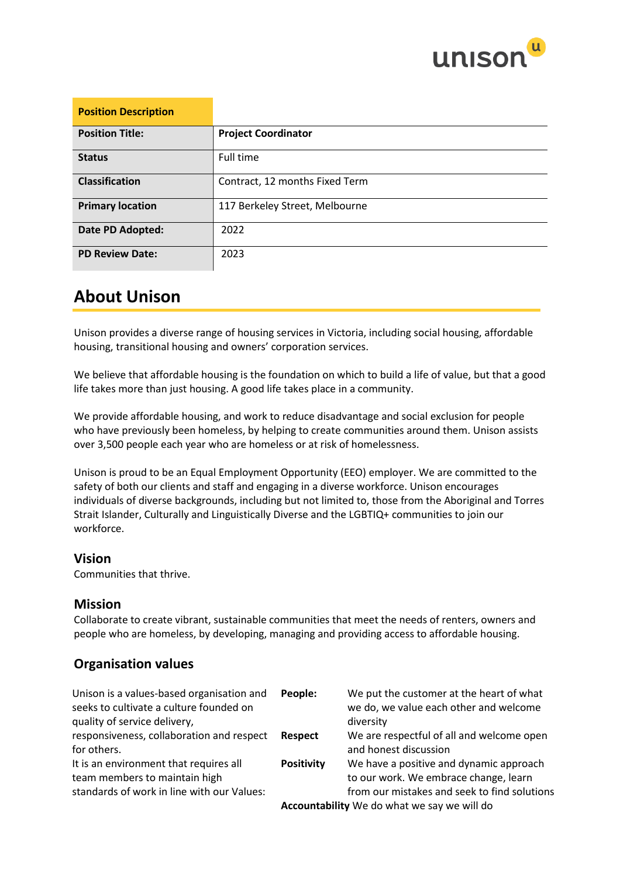

| <b>Position Description</b> |                                |
|-----------------------------|--------------------------------|
| <b>Position Title:</b>      | <b>Project Coordinator</b>     |
| <b>Status</b>               | Full time                      |
| <b>Classification</b>       | Contract, 12 months Fixed Term |
| <b>Primary location</b>     | 117 Berkeley Street, Melbourne |
| Date PD Adopted:            | 2022                           |
| <b>PD Review Date:</b>      | 2023                           |

## **About Unison**

Unison provides a diverse range of housing services in Victoria, including social housing, affordable housing, transitional housing and owners' corporation services.

We believe that affordable housing is the foundation on which to build a life of value, but that a good life takes more than just housing. A good life takes place in a community.

We provide affordable housing, and work to reduce disadvantage and social exclusion for people who have previously been homeless, by helping to create communities around them. Unison assists over 3,500 people each year who are homeless or at risk of homelessness.

Unison is proud to be an Equal Employment Opportunity (EEO) employer. We are committed to the safety of both our clients and staff and engaging in a diverse workforce. Unison encourages individuals of diverse backgrounds, including but not limited to, those from the Aboriginal and Torres Strait Islander, Culturally and Linguistically Diverse and the LGBTIQ+ communities to join our workforce.

### **Vision**

Communities that thrive.

### **Mission**

Collaborate to create vibrant, sustainable communities that meet the needs of renters, owners and people who are homeless, by developing, managing and providing access to affordable housing.

### **Organisation values**

| Unison is a values-based organisation and<br>seeks to cultivate a culture founded on | People:           | We put the customer at the heart of what<br>we do, we value each other and welcome |
|--------------------------------------------------------------------------------------|-------------------|------------------------------------------------------------------------------------|
| quality of service delivery,                                                         |                   | diversity                                                                          |
| responsiveness, collaboration and respect                                            | Respect           | We are respectful of all and welcome open                                          |
| for others.                                                                          |                   | and honest discussion                                                              |
| It is an environment that requires all<br>team members to maintain high              | <b>Positivity</b> | We have a positive and dynamic approach<br>to our work. We embrace change, learn   |
| standards of work in line with our Values:                                           |                   | from our mistakes and seek to find solutions                                       |
|                                                                                      |                   | Accountability We do what we say we will do                                        |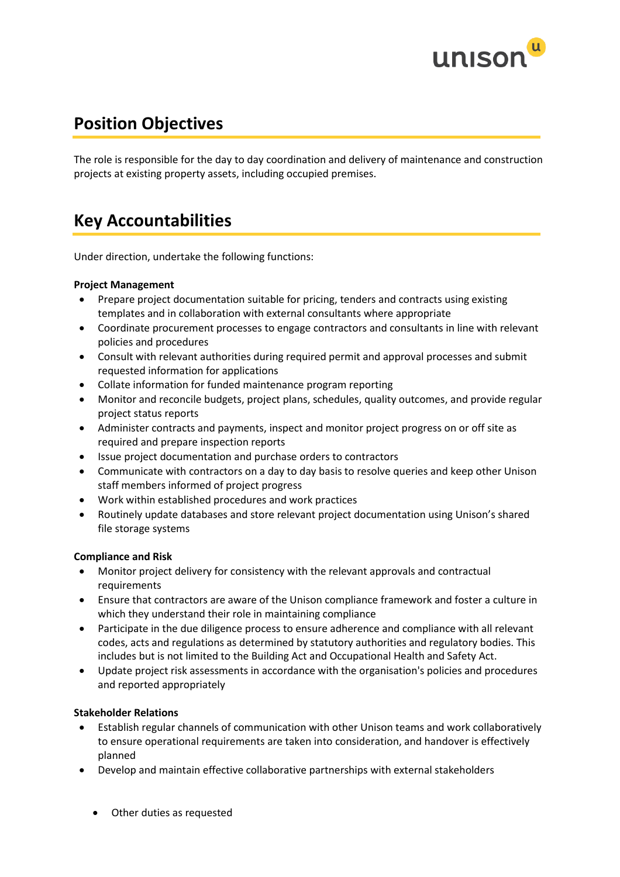

## **Position Objectives**

The role is responsible for the day to day coordination and delivery of maintenance and construction projects at existing property assets, including occupied premises.

## **Key Accountabilities**

Under direction, undertake the following functions:

#### **Project Management**

- Prepare project documentation suitable for pricing, tenders and contracts using existing templates and in collaboration with external consultants where appropriate
- Coordinate procurement processes to engage contractors and consultants in line with relevant policies and procedures
- Consult with relevant authorities during required permit and approval processes and submit requested information for applications
- Collate information for funded maintenance program reporting
- Monitor and reconcile budgets, project plans, schedules, quality outcomes, and provide regular project status reports
- Administer contracts and payments, inspect and monitor project progress on or off site as required and prepare inspection reports
- Issue project documentation and purchase orders to contractors
- Communicate with contractors on a day to day basis to resolve queries and keep other Unison staff members informed of project progress
- Work within established procedures and work practices
- Routinely update databases and store relevant project documentation using Unison's shared file storage systems

#### **Compliance and Risk**

- Monitor project delivery for consistency with the relevant approvals and contractual requirements
- Ensure that contractors are aware of the Unison compliance framework and foster a culture in which they understand their role in maintaining compliance
- Participate in the due diligence process to ensure adherence and compliance with all relevant codes, acts and regulations as determined by statutory authorities and regulatory bodies. This includes but is not limited to the Building Act and Occupational Health and Safety Act.
- Update project risk assessments in accordance with the organisation's policies and procedures and reported appropriately

#### **Stakeholder Relations**

- Establish regular channels of communication with other Unison teams and work collaboratively to ensure operational requirements are taken into consideration, and handover is effectively planned
- Develop and maintain effective collaborative partnerships with external stakeholders
	- Other duties as requested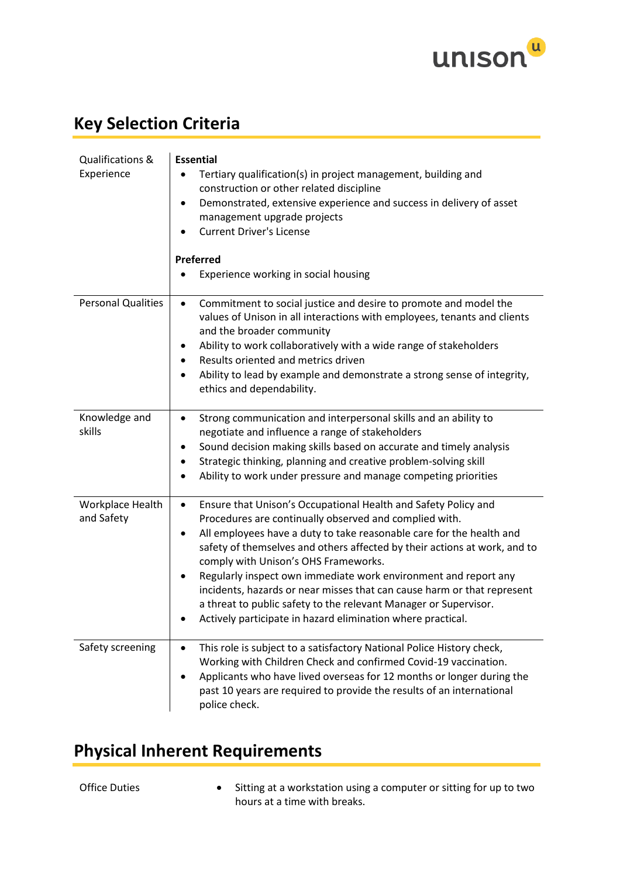

# **Key Selection Criteria**

| Qualifications &<br>Experience | <b>Essential</b><br>Tertiary qualification(s) in project management, building and<br>construction or other related discipline<br>Demonstrated, extensive experience and success in delivery of asset<br>$\bullet$<br>management upgrade projects<br><b>Current Driver's License</b><br><b>Preferred</b><br>Experience working in social housing                                                                                                                                                                                                                                                                                  |
|--------------------------------|----------------------------------------------------------------------------------------------------------------------------------------------------------------------------------------------------------------------------------------------------------------------------------------------------------------------------------------------------------------------------------------------------------------------------------------------------------------------------------------------------------------------------------------------------------------------------------------------------------------------------------|
| <b>Personal Qualities</b>      | Commitment to social justice and desire to promote and model the<br>$\bullet$<br>values of Unison in all interactions with employees, tenants and clients<br>and the broader community<br>Ability to work collaboratively with a wide range of stakeholders<br>٠<br>Results oriented and metrics driven<br>Ability to lead by example and demonstrate a strong sense of integrity,<br>$\bullet$<br>ethics and dependability.                                                                                                                                                                                                     |
| Knowledge and<br>skills        | Strong communication and interpersonal skills and an ability to<br>$\bullet$<br>negotiate and influence a range of stakeholders<br>Sound decision making skills based on accurate and timely analysis<br>Strategic thinking, planning and creative problem-solving skill<br>Ability to work under pressure and manage competing priorities                                                                                                                                                                                                                                                                                       |
| Workplace Health<br>and Safety | Ensure that Unison's Occupational Health and Safety Policy and<br>$\bullet$<br>Procedures are continually observed and complied with.<br>All employees have a duty to take reasonable care for the health and<br>$\bullet$<br>safety of themselves and others affected by their actions at work, and to<br>comply with Unison's OHS Frameworks.<br>Regularly inspect own immediate work environment and report any<br>incidents, hazards or near misses that can cause harm or that represent<br>a threat to public safety to the relevant Manager or Supervisor.<br>Actively participate in hazard elimination where practical. |
| Safety screening               | This role is subject to a satisfactory National Police History check,<br>$\bullet$<br>Working with Children Check and confirmed Covid-19 vaccination.<br>Applicants who have lived overseas for 12 months or longer during the<br>past 10 years are required to provide the results of an international<br>police check.                                                                                                                                                                                                                                                                                                         |

# **Physical Inherent Requirements**

Office Duties • Sitting at a workstation using a computer or sitting for up to two hours at a time with breaks.